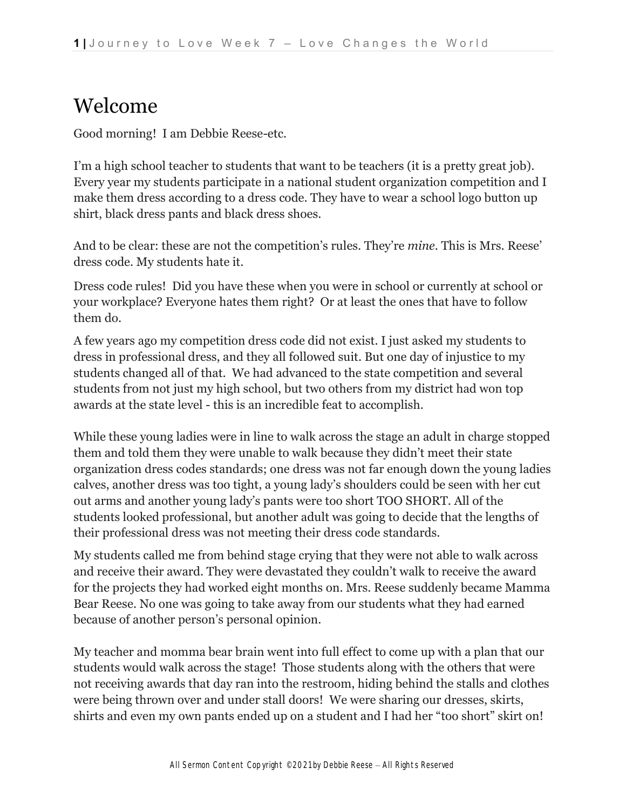### Welcome

Good morning! I am Debbie Reese-etc.

I'm a high school teacher to students that want to be teachers (it is a pretty great job). Every year my students participate in a national student organization competition and I make them dress according to a dress code. They have to wear a school logo button up shirt, black dress pants and black dress shoes.

And to be clear: these are not the competition's rules. They're *mine*. This is Mrs. Reese' dress code. My students hate it.

Dress code rules! Did you have these when you were in school or currently at school or your workplace? Everyone hates them right? Or at least the ones that have to follow them do.

A few years ago my competition dress code did not exist. I just asked my students to dress in professional dress, and they all followed suit. But one day of injustice to my students changed all of that. We had advanced to the state competition and several students from not just my high school, but two others from my district had won top awards at the state level - this is an incredible feat to accomplish.

While these young ladies were in line to walk across the stage an adult in charge stopped them and told them they were unable to walk because they didn't meet their state organization dress codes standards; one dress was not far enough down the young ladies calves, another dress was too tight, a young lady's shoulders could be seen with her cut out arms and another young lady's pants were too short TOO SHORT. All of the students looked professional, but another adult was going to decide that the lengths of their professional dress was not meeting their dress code standards.

My students called me from behind stage crying that they were not able to walk across and receive their award. They were devastated they couldn't walk to receive the award for the projects they had worked eight months on. Mrs. Reese suddenly became Mamma Bear Reese. No one was going to take away from our students what they had earned because of another person's personal opinion.

My teacher and momma bear brain went into full effect to come up with a plan that our students would walk across the stage! Those students along with the others that were not receiving awards that day ran into the restroom, hiding behind the stalls and clothes were being thrown over and under stall doors! We were sharing our dresses, skirts, shirts and even my own pants ended up on a student and I had her "too short" skirt on!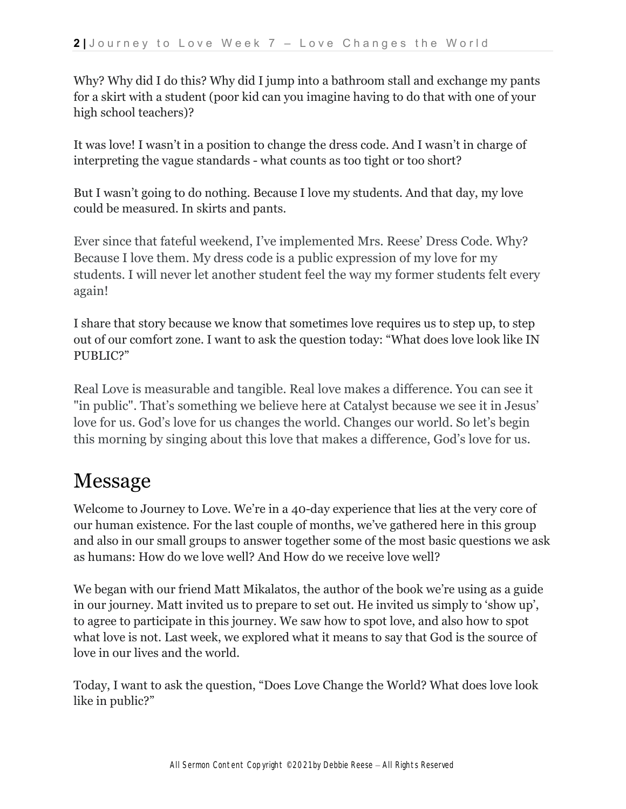Why? Why did I do this? Why did I jump into a bathroom stall and exchange my pants for a skirt with a student (poor kid can you imagine having to do that with one of your high school teachers)?

It was love! I wasn't in a position to change the dress code. And I wasn't in charge of interpreting the vague standards - what counts as too tight or too short?

But I wasn't going to do nothing. Because I love my students. And that day, my love could be measured. In skirts and pants.

Ever since that fateful weekend, I've implemented Mrs. Reese' Dress Code. Why? Because I love them. My dress code is a public expression of my love for my students. I will never let another student feel the way my former students felt every again!

I share that story because we know that sometimes love requires us to step up, to step out of our comfort zone. I want to ask the question today: "What does love look like IN PUBLIC?"

Real Love is measurable and tangible. Real love makes a difference. You can see it "in public". That's something we believe here at Catalyst because we see it in Jesus' love for us. God's love for us changes the world. Changes our world. So let's begin this morning by singing about this love that makes a difference, God's love for us.

## Message

Welcome to Journey to Love. We're in a 40-day experience that lies at the very core of our human existence. For the last couple of months, we've gathered here in this group and also in our small groups to answer together some of the most basic questions we ask as humans: How do we love well? And How do we receive love well?

We began with our friend Matt Mikalatos, the author of the book we're using as a guide in our journey. Matt invited us to prepare to set out. He invited us simply to 'show up', to agree to participate in this journey. We saw how to spot love, and also how to spot what love is not. Last week, we explored what it means to say that God is the source of love in our lives and the world.

Today, I want to ask the question, "Does Love Change the World? What does love look like in public?"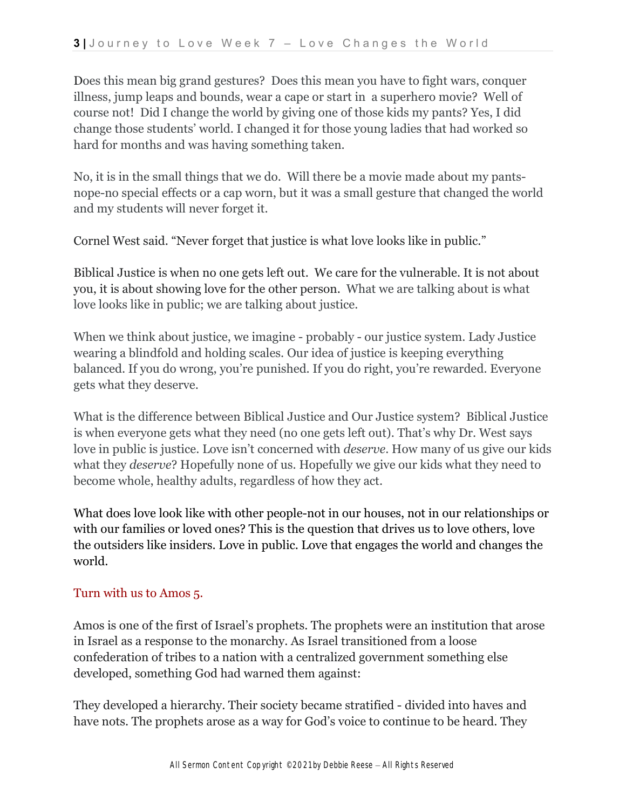Does this mean big grand gestures? Does this mean you have to fight wars, conquer illness, jump leaps and bounds, wear a cape or start in a superhero movie? Well of course not! Did I change the world by giving one of those kids my pants? Yes, I did change those students' world. I changed it for those young ladies that had worked so hard for months and was having something taken.

No, it is in the small things that we do. Will there be a movie made about my pantsnope-no special effects or a cap worn, but it was a small gesture that changed the world and my students will never forget it.

Cornel West said. "Never forget that justice is what love looks like in public."

Biblical Justice is when no one gets left out. We care for the vulnerable. It is not about you, it is about showing love for the other person. What we are talking about is what love looks like in public; we are talking about justice.

When we think about justice, we imagine - probably - our justice system. Lady Justice wearing a blindfold and holding scales. Our idea of justice is keeping everything balanced. If you do wrong, you're punished. If you do right, you're rewarded. Everyone gets what they deserve.

What is the difference between Biblical Justice and Our Justice system? Biblical Justice is when everyone gets what they need (no one gets left out). That's why Dr. West says love in public is justice. Love isn't concerned with *deserve*. How many of us give our kids what they *deserve*? Hopefully none of us. Hopefully we give our kids what they need to become whole, healthy adults, regardless of how they act.

What does love look like with other people-not in our houses, not in our relationships or with our families or loved ones? This is the question that drives us to love others, love the outsiders like insiders. Love in public. Love that engages the world and changes the world.

#### Turn with us to Amos 5.

Amos is one of the first of Israel's prophets. The prophets were an institution that arose in Israel as a response to the monarchy. As Israel transitioned from a loose confederation of tribes to a nation with a centralized government something else developed, something God had warned them against:

They developed a hierarchy. Their society became stratified - divided into haves and have nots. The prophets arose as a way for God's voice to continue to be heard. They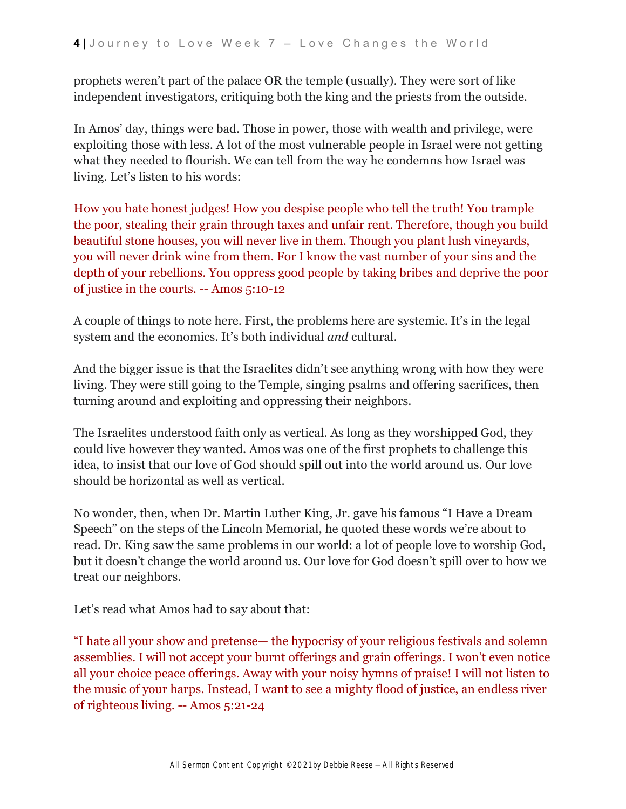prophets weren't part of the palace OR the temple (usually). They were sort of like independent investigators, critiquing both the king and the priests from the outside.

In Amos' day, things were bad. Those in power, those with wealth and privilege, were exploiting those with less. A lot of the most vulnerable people in Israel were not getting what they needed to flourish. We can tell from the way he condemns how Israel was living. Let's listen to his words:

How you hate honest judges! How you despise people who tell the truth! You trample the poor, stealing their grain through taxes and unfair rent. Therefore, though you build beautiful stone houses, you will never live in them. Though you plant lush vineyards, you will never drink wine from them. For I know the vast number of your sins and the depth of your rebellions. You oppress good people by taking bribes and deprive the poor of justice in the courts. -- Amos 5:10-12

A couple of things to note here. First, the problems here are systemic. It's in the legal system and the economics. It's both individual *and* cultural.

And the bigger issue is that the Israelites didn't see anything wrong with how they were living. They were still going to the Temple, singing psalms and offering sacrifices, then turning around and exploiting and oppressing their neighbors.

The Israelites understood faith only as vertical. As long as they worshipped God, they could live however they wanted. Amos was one of the first prophets to challenge this idea, to insist that our love of God should spill out into the world around us. Our love should be horizontal as well as vertical.

No wonder, then, when Dr. Martin Luther King, Jr. gave his famous "I Have a Dream Speech" on the steps of the Lincoln Memorial, he quoted these words we're about to read. Dr. King saw the same problems in our world: a lot of people love to worship God, but it doesn't change the world around us. Our love for God doesn't spill over to how we treat our neighbors.

Let's read what Amos had to say about that:

"I hate all your show and pretense— the hypocrisy of your religious festivals and solemn assemblies. I will not accept your burnt offerings and grain offerings. I won't even notice all your choice peace offerings. Away with your noisy hymns of praise! I will not listen to the music of your harps. Instead, I want to see a mighty flood of justice, an endless river of righteous living. -- Amos 5:21-24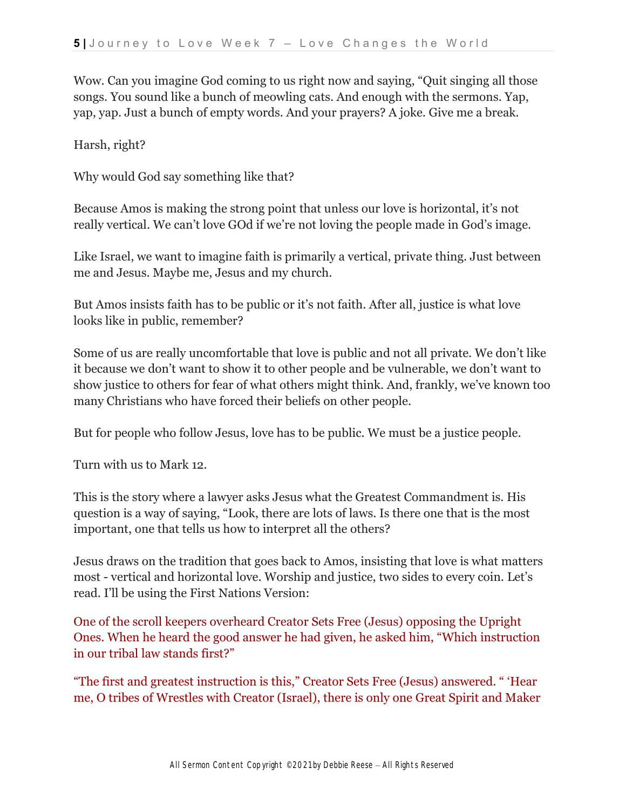Wow. Can you imagine God coming to us right now and saying, "Quit singing all those songs. You sound like a bunch of meowling cats. And enough with the sermons. Yap, yap, yap. Just a bunch of empty words. And your prayers? A joke. Give me a break.

Harsh, right?

Why would God say something like that?

Because Amos is making the strong point that unless our love is horizontal, it's not really vertical. We can't love GOd if we're not loving the people made in God's image.

Like Israel, we want to imagine faith is primarily a vertical, private thing. Just between me and Jesus. Maybe me, Jesus and my church.

But Amos insists faith has to be public or it's not faith. After all, justice is what love looks like in public, remember?

Some of us are really uncomfortable that love is public and not all private. We don't like it because we don't want to show it to other people and be vulnerable, we don't want to show justice to others for fear of what others might think. And, frankly, we've known too many Christians who have forced their beliefs on other people.

But for people who follow Jesus, love has to be public. We must be a justice people.

Turn with us to Mark 12.

This is the story where a lawyer asks Jesus what the Greatest Commandment is. His question is a way of saying, "Look, there are lots of laws. Is there one that is the most important, one that tells us how to interpret all the others?

Jesus draws on the tradition that goes back to Amos, insisting that love is what matters most - vertical and horizontal love. Worship and justice, two sides to every coin. Let's read. I'll be using the First Nations Version:

One of the scroll keepers overheard Creator Sets Free (Jesus) opposing the Upright Ones. When he heard the good answer he had given, he asked him, "Which instruction in our tribal law stands first?"

"The first and greatest instruction is this," Creator Sets Free (Jesus) answered. " 'Hear me, O tribes of Wrestles with Creator (Israel), there is only one Great Spirit and Maker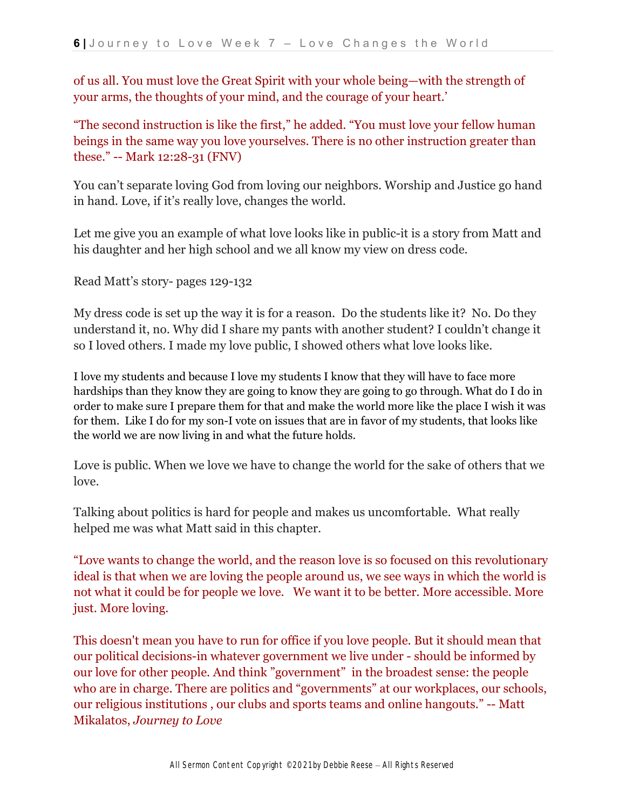of us all. You must love the Great Spirit with your whole being—with the strength of your arms, the thoughts of your mind, and the courage of your heart.'

"The second instruction is like the first," he added. "You must love your fellow human beings in the same way you love yourselves. There is no other instruction greater than these." -- Mark 12:28-31 (FNV)

You can't separate loving God from loving our neighbors. Worship and Justice go hand in hand. Love, if it's really love, changes the world.

Let me give you an example of what love looks like in public-it is a story from Matt and his daughter and her high school and we all know my view on dress code.

Read Matt's story- pages 129-132

My dress code is set up the way it is for a reason. Do the students like it? No. Do they understand it, no. Why did I share my pants with another student? I couldn't change it so I loved others. I made my love public, I showed others what love looks like.

I love my students and because I love my students I know that they will have to face more hardships than they know they are going to know they are going to go through. What do I do in order to make sure I prepare them for that and make the world more like the place I wish it was for them. Like I do for my son-I vote on issues that are in favor of my students, that looks like the world we are now living in and what the future holds.

Love is public. When we love we have to change the world for the sake of others that we love.

Talking about politics is hard for people and makes us uncomfortable. What really helped me was what Matt said in this chapter.

"Love wants to change the world, and the reason love is so focused on this revolutionary ideal is that when we are loving the people around us, we see ways in which the world is not what it could be for people we love. We want it to be better. More accessible. More just. More loving.

This doesn't mean you have to run for office if you love people. But it should mean that our political decisions-in whatever government we live under - should be informed by our love for other people. And think "government" in the broadest sense: the people who are in charge. There are politics and "governments" at our workplaces, our schools, our religious institutions , our clubs and sports teams and online hangouts." -- Matt Mikalatos, *Journey to Love*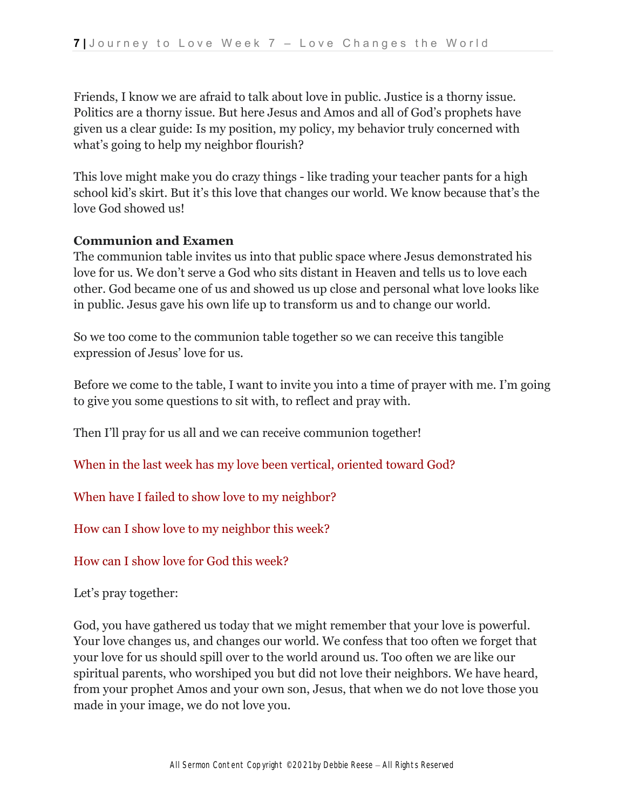Friends, I know we are afraid to talk about love in public. Justice is a thorny issue. Politics are a thorny issue. But here Jesus and Amos and all of God's prophets have given us a clear guide: Is my position, my policy, my behavior truly concerned with what's going to help my neighbor flourish?

This love might make you do crazy things - like trading your teacher pants for a high school kid's skirt. But it's this love that changes our world. We know because that's the love God showed us!

#### **Communion and Examen**

The communion table invites us into that public space where Jesus demonstrated his love for us. We don't serve a God who sits distant in Heaven and tells us to love each other. God became one of us and showed us up close and personal what love looks like in public. Jesus gave his own life up to transform us and to change our world.

So we too come to the communion table together so we can receive this tangible expression of Jesus' love for us.

Before we come to the table, I want to invite you into a time of prayer with me. I'm going to give you some questions to sit with, to reflect and pray with.

Then I'll pray for us all and we can receive communion together!

When in the last week has my love been vertical, oriented toward God?

When have I failed to show love to my neighbor?

How can I show love to my neighbor this week?

How can I show love for God this week?

Let's pray together:

God, you have gathered us today that we might remember that your love is powerful. Your love changes us, and changes our world. We confess that too often we forget that your love for us should spill over to the world around us. Too often we are like our spiritual parents, who worshiped you but did not love their neighbors. We have heard, from your prophet Amos and your own son, Jesus, that when we do not love those you made in your image, we do not love you.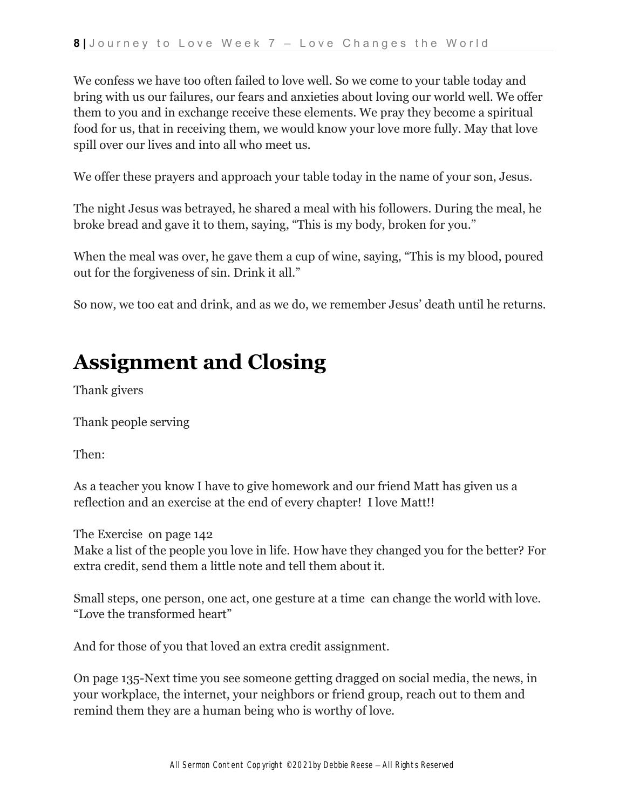We confess we have too often failed to love well. So we come to your table today and bring with us our failures, our fears and anxieties about loving our world well. We offer them to you and in exchange receive these elements. We pray they become a spiritual food for us, that in receiving them, we would know your love more fully. May that love spill over our lives and into all who meet us.

We offer these prayers and approach your table today in the name of your son, Jesus.

The night Jesus was betrayed, he shared a meal with his followers. During the meal, he broke bread and gave it to them, saying, "This is my body, broken for you."

When the meal was over, he gave them a cup of wine, saying, "This is my blood, poured out for the forgiveness of sin. Drink it all."

So now, we too eat and drink, and as we do, we remember Jesus' death until he returns.

# **Assignment and Closing**

Thank givers

Thank people serving

Then:

As a teacher you know I have to give homework and our friend Matt has given us a reflection and an exercise at the end of every chapter! I love Matt!!

The Exercise on page 142

Make a list of the people you love in life. How have they changed you for the better? For extra credit, send them a little note and tell them about it.

Small steps, one person, one act, one gesture at a time can change the world with love. "Love the transformed heart"

And for those of you that loved an extra credit assignment.

On page 135-Next time you see someone getting dragged on social media, the news, in your workplace, the internet, your neighbors or friend group, reach out to them and remind them they are a human being who is worthy of love.